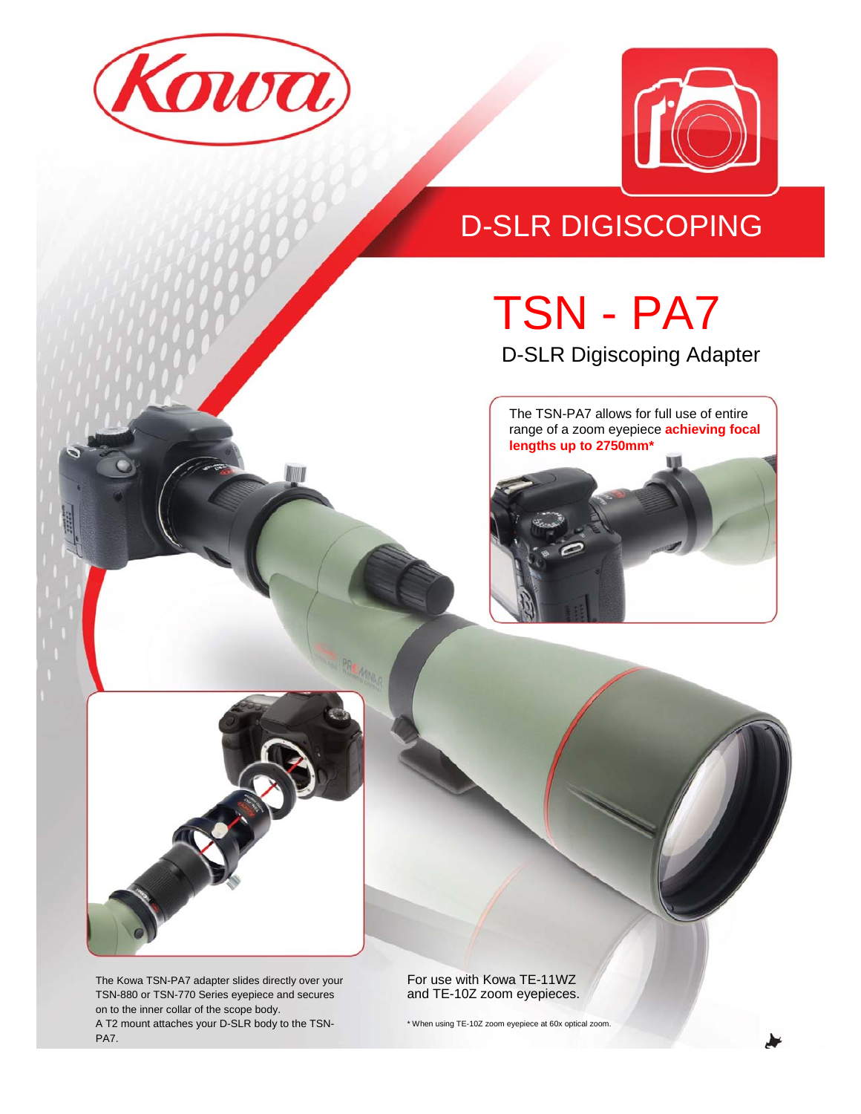



## D-SLR DIGISCOPING

TSN - PA7

D-SLR Digiscoping Adapter

The TSN-PA7 allows for full use of entire range of a zoom eyepiece **achieving focal lengths up to 2750mm\***





For use with Kowa TE-11WZ and TE-10Z zoom eyepieces.

\* When using TE-10Z zoom eyepiece at 60x optical zoom.

The Kowa TSN-PA7 adapter slides directly over your TSN-880 or TSN-770 Series eyepiece and secures on to the inner collar of the scope body. A T2 mount attaches your D-SLR body to the TSN-PA7.